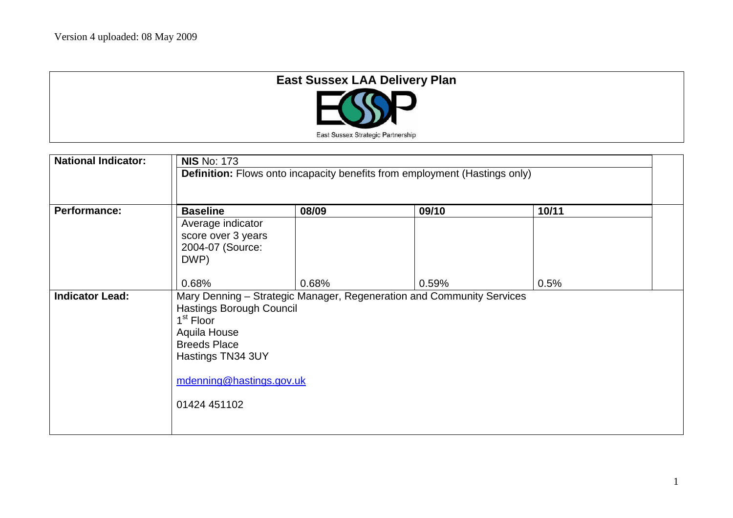| <b>East Sussex LAA Delivery Plan</b> |  |
|--------------------------------------|--|
| <b>ND</b>                            |  |
| East Sussex Strategic Partnership    |  |

| <b>National Indicator:</b> | <b>NIS No: 173</b><br><b>Definition:</b> Flows onto incapacity benefits from employment (Hastings only)                                                                                                                                                                      |       |       |       |
|----------------------------|------------------------------------------------------------------------------------------------------------------------------------------------------------------------------------------------------------------------------------------------------------------------------|-------|-------|-------|
| <b>Performance:</b>        | <b>Baseline</b><br>Average indicator<br>score over 3 years<br>2004-07 (Source:<br>DWP)                                                                                                                                                                                       | 08/09 | 09/10 | 10/11 |
| <b>Indicator Lead:</b>     | 0.68%<br>0.68%<br>0.59%<br>0.5%<br>Mary Denning - Strategic Manager, Regeneration and Community Services<br><b>Hastings Borough Council</b><br>1 <sup>st</sup> Floor<br>Aquila House<br><b>Breeds Place</b><br>Hastings TN34 3UY<br>mdenning@hastings.gov.uk<br>01424 451102 |       |       |       |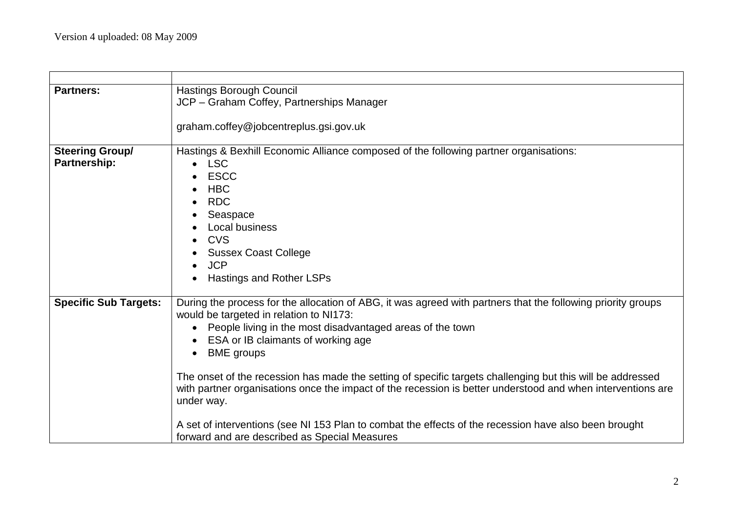| <b>Partners:</b>             | <b>Hastings Borough Council</b>                                                                              |  |  |  |  |
|------------------------------|--------------------------------------------------------------------------------------------------------------|--|--|--|--|
|                              | JCP - Graham Coffey, Partnerships Manager                                                                    |  |  |  |  |
|                              |                                                                                                              |  |  |  |  |
|                              | graham.coffey@jobcentreplus.gsi.gov.uk                                                                       |  |  |  |  |
| <b>Steering Group/</b>       | Hastings & Bexhill Economic Alliance composed of the following partner organisations:                        |  |  |  |  |
| Partnership:                 | <b>LSC</b><br>$\bullet$                                                                                      |  |  |  |  |
|                              | <b>ESCC</b>                                                                                                  |  |  |  |  |
|                              | <b>HBC</b>                                                                                                   |  |  |  |  |
|                              | <b>RDC</b><br>$\bullet$                                                                                      |  |  |  |  |
|                              | Seaspace                                                                                                     |  |  |  |  |
|                              | Local business                                                                                               |  |  |  |  |
|                              | <b>CVS</b><br>$\bullet$                                                                                      |  |  |  |  |
|                              | <b>Sussex Coast College</b>                                                                                  |  |  |  |  |
|                              | <b>JCP</b>                                                                                                   |  |  |  |  |
|                              | Hastings and Rother LSPs                                                                                     |  |  |  |  |
| <b>Specific Sub Targets:</b> | During the process for the allocation of ABG, it was agreed with partners that the following priority groups |  |  |  |  |
|                              | would be targeted in relation to NI173:                                                                      |  |  |  |  |
|                              | People living in the most disadvantaged areas of the town                                                    |  |  |  |  |
|                              | ESA or IB claimants of working age                                                                           |  |  |  |  |
|                              | <b>BME</b> groups<br>$\bullet$                                                                               |  |  |  |  |
|                              | The onset of the recession has made the setting of specific targets challenging but this will be addressed   |  |  |  |  |
|                              | with partner organisations once the impact of the recession is better understood and when interventions are  |  |  |  |  |
|                              | under way.                                                                                                   |  |  |  |  |
|                              |                                                                                                              |  |  |  |  |
|                              | A set of interventions (see NI 153 Plan to combat the effects of the recession have also been brought        |  |  |  |  |
|                              | forward and are described as Special Measures                                                                |  |  |  |  |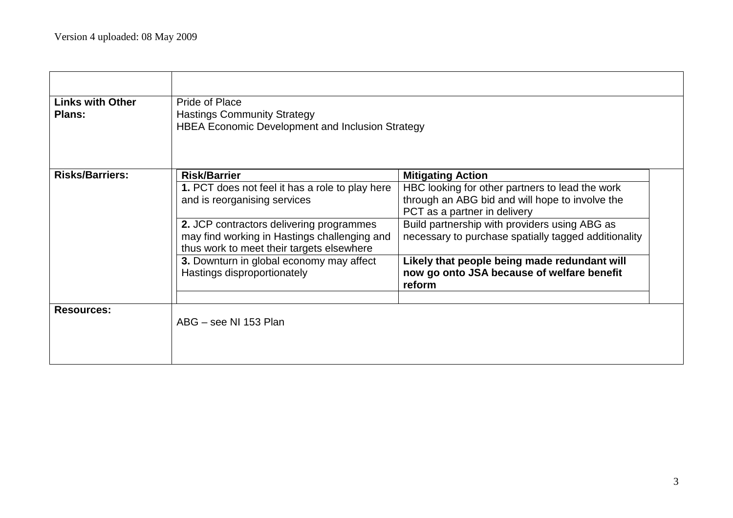| <b>Links with Other</b><br><b>Plans:</b> | Pride of Place<br><b>Hastings Community Strategy</b><br>HBEA Economic Development and Inclusion Strategy                                                                                                                                                                                                                   |                                                                                                                                                                                                                                                                                                                                                                                 |  |  |
|------------------------------------------|----------------------------------------------------------------------------------------------------------------------------------------------------------------------------------------------------------------------------------------------------------------------------------------------------------------------------|---------------------------------------------------------------------------------------------------------------------------------------------------------------------------------------------------------------------------------------------------------------------------------------------------------------------------------------------------------------------------------|--|--|
| <b>Risks/Barriers:</b>                   | <b>Risk/Barrier</b><br>1. PCT does not feel it has a role to play here<br>and is reorganising services<br>2. JCP contractors delivering programmes<br>may find working in Hastings challenging and<br>thus work to meet their targets elsewhere<br>3. Downturn in global economy may affect<br>Hastings disproportionately | <b>Mitigating Action</b><br>HBC looking for other partners to lead the work<br>through an ABG bid and will hope to involve the<br>PCT as a partner in delivery<br>Build partnership with providers using ABG as<br>necessary to purchase spatially tagged additionality<br>Likely that people being made redundant will<br>now go onto JSA because of welfare benefit<br>reform |  |  |
| <b>Resources:</b>                        | ABG – see NI 153 Plan                                                                                                                                                                                                                                                                                                      |                                                                                                                                                                                                                                                                                                                                                                                 |  |  |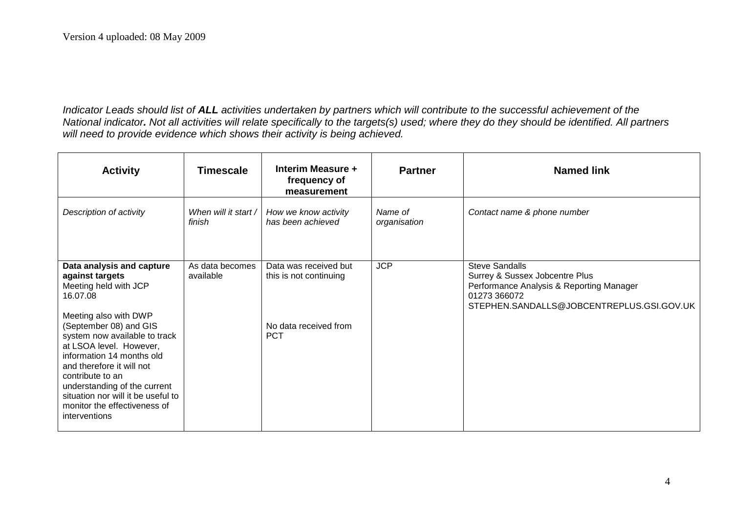*Indicator Leads should list of ALL activities undertaken by partners which will contribute to the successful achievement of the National indicator. Not all activities will relate specifically to the targets(s) used; where they do they should be identified. All partners will need to provide evidence which shows their activity is being achieved.*

| <b>Activity</b>                                                                                                                                                                                                                                                                         | <b>Timescale</b>               | Interim Measure +<br>frequency of<br>measurement | <b>Partner</b>          | <b>Named link</b>                                                                                                                                                |
|-----------------------------------------------------------------------------------------------------------------------------------------------------------------------------------------------------------------------------------------------------------------------------------------|--------------------------------|--------------------------------------------------|-------------------------|------------------------------------------------------------------------------------------------------------------------------------------------------------------|
| Description of activity                                                                                                                                                                                                                                                                 | When will it start /<br>finish | How we know activity<br>has been achieved        | Name of<br>organisation | Contact name & phone number                                                                                                                                      |
| Data analysis and capture<br>against targets<br>Meeting held with JCP<br>16.07.08<br>Meeting also with DWP                                                                                                                                                                              | As data becomes<br>available   | Data was received but<br>this is not continuing  | <b>JCP</b>              | <b>Steve Sandalls</b><br>Surrey & Sussex Jobcentre Plus<br>Performance Analysis & Reporting Manager<br>01273 366072<br>STEPHEN.SANDALLS@JOBCENTREPLUS.GSI.GOV.UK |
| (September 08) and GIS<br>system now available to track<br>at LSOA level. However,<br>information 14 months old<br>and therefore it will not<br>contribute to an<br>understanding of the current<br>situation nor will it be useful to<br>monitor the effectiveness of<br>interventions |                                | No data received from<br><b>PCT</b>              |                         |                                                                                                                                                                  |